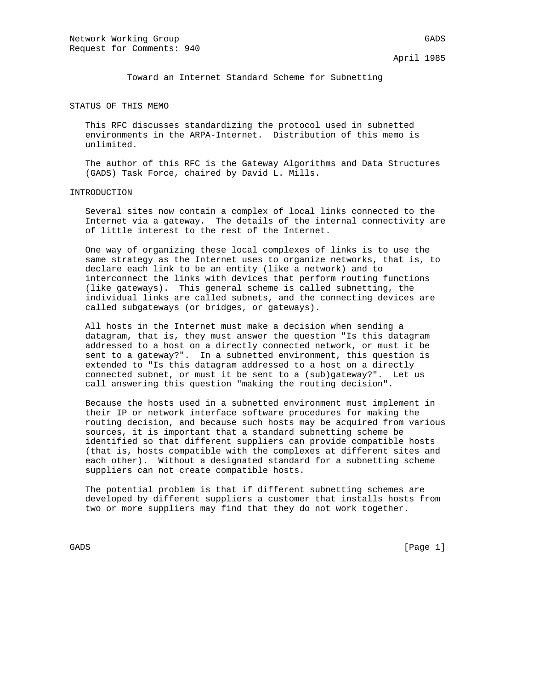Toward an Internet Standard Scheme for Subnetting

STATUS OF THIS MEMO

 This RFC discusses standardizing the protocol used in subnetted environments in the ARPA-Internet. Distribution of this memo is unlimited.

 The author of this RFC is the Gateway Algorithms and Data Structures (GADS) Task Force, chaired by David L. Mills.

## INTRODUCTION

 Several sites now contain a complex of local links connected to the Internet via a gateway. The details of the internal connectivity are of little interest to the rest of the Internet.

 One way of organizing these local complexes of links is to use the same strategy as the Internet uses to organize networks, that is, to declare each link to be an entity (like a network) and to interconnect the links with devices that perform routing functions (like gateways). This general scheme is called subnetting, the individual links are called subnets, and the connecting devices are called subgateways (or bridges, or gateways).

 All hosts in the Internet must make a decision when sending a datagram, that is, they must answer the question "Is this datagram addressed to a host on a directly connected network, or must it be sent to a gateway?". In a subnetted environment, this question is extended to "Is this datagram addressed to a host on a directly connected subnet, or must it be sent to a (sub)gateway?". Let us call answering this question "making the routing decision".

 Because the hosts used in a subnetted environment must implement in their IP or network interface software procedures for making the routing decision, and because such hosts may be acquired from various sources, it is important that a standard subnetting scheme be identified so that different suppliers can provide compatible hosts (that is, hosts compatible with the complexes at different sites and each other). Without a designated standard for a subnetting scheme suppliers can not create compatible hosts.

 The potential problem is that if different subnetting schemes are developed by different suppliers a customer that installs hosts from two or more suppliers may find that they do not work together.

GADS [Page 1]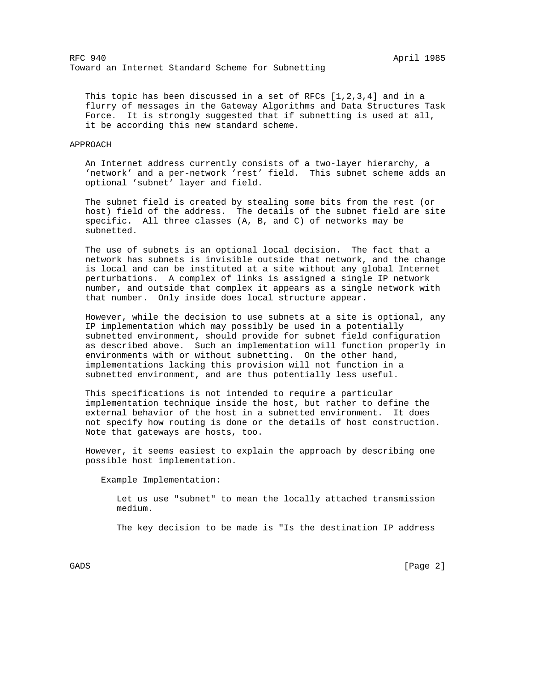This topic has been discussed in a set of RFCs  $[1,2,3,4]$  and in a flurry of messages in the Gateway Algorithms and Data Structures Task Force. It is strongly suggested that if subnetting is used at all, it be according this new standard scheme.

## APPROACH

 An Internet address currently consists of a two-layer hierarchy, a 'network' and a per-network 'rest' field. This subnet scheme adds an optional 'subnet' layer and field.

 The subnet field is created by stealing some bits from the rest (or host) field of the address. The details of the subnet field are site specific. All three classes (A, B, and C) of networks may be subnetted.

 The use of subnets is an optional local decision. The fact that a network has subnets is invisible outside that network, and the change is local and can be instituted at a site without any global Internet perturbations. A complex of links is assigned a single IP network number, and outside that complex it appears as a single network with that number. Only inside does local structure appear.

 However, while the decision to use subnets at a site is optional, any IP implementation which may possibly be used in a potentially subnetted environment, should provide for subnet field configuration as described above. Such an implementation will function properly in environments with or without subnetting. On the other hand, implementations lacking this provision will not function in a subnetted environment, and are thus potentially less useful.

 This specifications is not intended to require a particular implementation technique inside the host, but rather to define the external behavior of the host in a subnetted environment. It does not specify how routing is done or the details of host construction. Note that gateways are hosts, too.

 However, it seems easiest to explain the approach by describing one possible host implementation.

Example Implementation:

 Let us use "subnet" to mean the locally attached transmission medium.

The key decision to be made is "Is the destination IP address

GADS [Page 2]